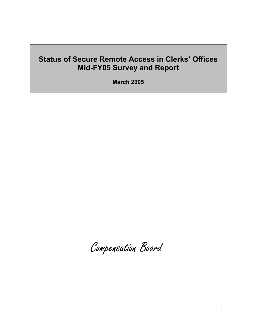**March 2005** 

Compensation Board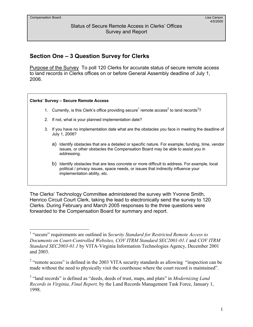$\overline{a}$ 

#### Status of Secure Remote Access in Clerks' Offices Survey and Report

## **Section One – 3 Question Survey for Clerks**

Purpose of the Survey To poll 120 Clerks for accurate status of secure remote access to land records in Clerks offices on or before General Assembly deadline of July 1, 2006.

## **Clerks' Survey – Secure Remote Access**  1. Currently, is this Clerk's office providing secure<sup>1</sup> remote access<sup>2</sup> to land records<sup>3</sup>? 2. If not, what is your planned implementation date?

- 3. If you have no implementation date what are the obstacles you face in meeting the deadline of July 1, 2006?
	- a) Identify obstacles that are a detailed or specific nature. For example, funding, time, vendor issues, or other obstacles the Compensation Board may be able to assist you in addressing.
	- b) Identify obstacles that are less concrete or more difficult to address. For example, local political / privacy issues, space needs, or issues that indirectly influence your implementation ability, etc.

The Clerks' Technology Committee administered the survey with Yvonne Smith, Henrico Circuit Court Clerk, taking the lead to electronically send the survey to 120 Clerks. During February and March 2005 responses to the three questions were forwarded to the Compensation Board for summary and report.

<sup>&</sup>lt;sup>1</sup> "secure" requirements are outlined in *Security Standard for Restricted Remote Access to Documents on Court-Controlled Websites, COV ITRM Standard SEC2001-01.1* and *COV ITRM Standard SEC2003-01.1* by VITA-Virginia Information Technologies Agency, December 2001 and 2003.

 $2$  "remote access" is defined in the 2003 VITA security standards as allowing "inspection can be made without the need to physically visit the courthouse where the court record is maintained".

<sup>&</sup>lt;sup>3</sup> "land records" is defined as "deeds, deeds of trust, maps, and plats" in *Modernizing Land Records in Virginia, Final Report,* by the Land Records Management Task Force, January 1, 1998.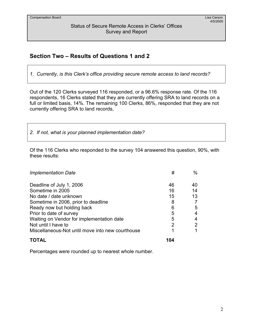## **Section Two – Results of Questions 1 and 2**

*1. Currently, is this Clerk's office providing secure remote access to land records?* 

Out of the 120 Clerks surveyed 116 responded, or a 96.6% response rate. Of the 116 respondents, 16 Clerks stated that they are currently offering SRA to land records on a full or limited basis, 14%. The remaining 100 Clerks, 86%, responded that they are not currently offering SRA to land records,

*2. If not, what is your planned implementation date?* 

Of the 116 Clerks who responded to the survey 104 answered this question, 90%, with these results:

| <b>Implementation Date</b>                       | #   | %  |
|--------------------------------------------------|-----|----|
| Deadline of July 1, 2006                         | 46  | 40 |
| Sometime in 2005                                 | 16  | 14 |
| No date / date unknown                           | 15  | 13 |
| Sometime in 2006, prior to deadline              | 8   |    |
| Ready now but holding back                       | 6   | 5  |
| Prior to date of survey                          | 5   | 4  |
| Waiting on Vendor for implementation date        | 5   | 4  |
| Not until I have to                              | 2   | 2  |
| Miscellaneous-Not until move into new courthouse |     | 1  |
|                                                  | 104 |    |

Percentages were rounded up to nearest whole number.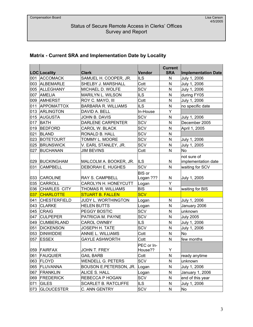## **Matrix - Current SRA and Implementation Date by Locality**

|     | LOC Locality        | <b>Clerk</b>                | Vendor                     | <b>Current</b><br><b>SRA</b> | <b>Implementation Date</b> |
|-----|---------------------|-----------------------------|----------------------------|------------------------------|----------------------------|
| 001 | <b>ACCOMACK</b>     | SAMUEL H. COOPER, JR.       | <b>ILS</b>                 | N                            | July 1, 2006               |
| 003 | <b>ALBEMARLE</b>    | SHELBY J. MARSHALL          | Cott                       | $\mathsf{N}$                 | July 1, 2006               |
|     | 005 ALLEGHANY       | MICHAEL D. WOLFE            | <b>SCV</b>                 | N                            | July 1, 2006               |
| 007 | <b>AMELIA</b>       | <b>MARILYN L. WILSON</b>    | <b>ILS</b>                 | ${\sf N}$                    | during FY05                |
| 009 | <b>AMHERST</b>      | ROY C. MAYO, III            | Cott                       | $\mathsf{N}$                 | July 1, 2006               |
| 011 | <b>APPOMATTOX</b>   | <b>BARBARA R. WILLIAMS</b>  | <b>ILS</b>                 | $\mathsf{N}$                 | no specific date           |
| 013 | <b>ARLINGTON</b>    | DAVID A. BELL               | In-House                   | Y                            |                            |
| 015 | <b>AUGUSTA</b>      | JOHN B. DAVIS               | SCV                        | $\mathsf{N}$                 | July 1, 2006               |
| 017 | <b>BATH</b>         | DARLENE CARPENTER           | SCV                        | N                            | December 2005              |
| 019 | <b>BEDFORD</b>      | CAROL W. BLACK              | SCV                        | $\mathsf{N}$                 | April 1, 2005              |
| 021 | <b>BLAND</b>        | RONALD B. HALL              | <b>SCV</b>                 | $\mathsf{N}$                 |                            |
| 023 | <b>BOTETOURT</b>    | TOMMY L. MOORE              | SCV                        | $\mathsf{N}$                 | July 1, 2006               |
| 025 | <b>BRUNSWICK</b>    | V. EARL STANLEY, JR.        | SCV                        | ${\sf N}$                    | July 1, 2005               |
| 027 | <b>BUCHANAN</b>     | <b>JIM BEVINS</b>           | Cott                       | $\mathsf{N}$                 | <b>No</b>                  |
|     |                     |                             |                            |                              | not sure of                |
| 029 | <b>BUCKINGHAM</b>   | MALCOLM A. BOOKER, JR.      | <b>ILS</b>                 | $\mathsf{N}$                 | implementation date        |
| 031 | <b>CAMPBELL</b>     | DEBORAH E. HUGHES           | SCV                        | N                            | waiting for SCV            |
| 033 | <b>CAROLINE</b>     | <b>RAY S. CAMPBELL</b>      | <b>BIS</b> or<br>Logan ??? | N                            | July 1, 2005               |
| 035 | CARROLL             | CAROLYN H. HONEYCUTT        | Logan                      | Y                            |                            |
| 036 | <b>CHARLES CITY</b> | THOMAS R. WILLIAMS          | <b>BIS</b>                 | $\mathsf{N}$                 | waiting for BIS            |
| 037 | <b>CHARLOTTE</b>    | <b>STUART B. FALLEN</b>     | <b>SCV</b>                 |                              |                            |
| 041 | <b>CHESTERFIELD</b> | <b>JUDY L. WORTHINGTON</b>  | Logan                      | ${\sf N}$                    | July 1, 2006               |
| 043 | <b>CLARKE</b>       | <b>HELEN BUTTS</b>          | Logan                      | $\mathsf{N}$                 | January 2006               |
| 045 | <b>CRAIG</b>        | <b>PEGGY BOSTIC</b>         | SCV                        | $\mathsf{N}$                 | unknown                    |
| 047 | <b>CULPEPER</b>     | PATRICIA M. PAYNE           | SCV                        | N                            | <b>July 2005</b>           |
| 049 | <b>CUMBERLAND</b>   | <b>CAROL OWNBY</b>          | ILS                        | N                            | July 1, 2006               |
| 051 | <b>DICKENSON</b>    | <b>JOSEPH H. TATE</b>       | SCV                        | N                            | July 1, 2006               |
| 053 | <b>DINWIDDIE</b>    | ANNIE L. WILLIAMS           | Cott                       | $\mathsf{N}$                 | <b>No</b>                  |
| 057 | <b>ESSEX</b>        | <b>GAYLE ASHWORTH</b>       | Cott                       | N                            | few months                 |
|     | 059 FAIRFAX         | JOHN T. FREY                | PEC or In-<br>House??      | Y                            |                            |
| 061 | <b>FAUQUIER</b>     | <b>GAIL BARB</b>            | Cott                       | N                            | ready anytime              |
| 063 | <b>FLOYD</b>        | <b>WENDELL G. PETERS</b>    | SCV                        | N                            | unknown                    |
| 065 | <b>FLUVANNA</b>     | BOUSON E.PETERSON, JR.      | Logan                      | N                            | July 1, 2006               |
| 067 | <b>FRANKLIN</b>     | ALICE S. HALL               | Logan                      | $\mathsf{N}$                 | January 1, 2006            |
| 069 | <b>FREDERICK</b>    | REBECCA P HOGAN             | SCV                        | N                            | end of this year           |
| 071 | <b>GILES</b>        | <b>SCARLET B. RATCLIFFE</b> | <b>ILS</b>                 | N                            | July 1, 2006               |
| 073 | <b>GLOUCESTER</b>   | C. ANN GENTRY               | SCV                        | N                            | No                         |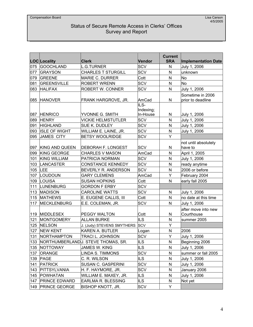|     | LOC Locality          | <b>Clerk</b>                       | Vendor            | <b>Current</b><br><b>SRA</b> | <b>Implementation Date</b>            |
|-----|-----------------------|------------------------------------|-------------------|------------------------------|---------------------------------------|
| 075 | <b>GOOCHLAND</b>      | <b>L.G.TURNER</b>                  | SCV               | $\mathsf{N}$                 | July 1, 2006                          |
| 077 | <b>GRAYSON</b>        | <b>CHARLES T STURGILL</b>          | <b>SCV</b>        | $\mathsf{N}$                 | unknown                               |
| 079 | GREENE                | <b>MARIE C. DURRER</b>             | Cott              | $\mathsf{N}$                 | <b>No</b>                             |
| 081 | <b>GREENSVILLE</b>    | <b>ROBERT WRENN</b>                | SCV               | ${\sf N}$                    | <b>No</b>                             |
| 083 | <b>HALIFAX</b>        | ROBERT W. CONNER                   | SCV               | N                            | July 1, 2006                          |
| 085 | <b>HANOVER</b>        | FRANK HARGROVE, JR.                | AmCad             | N                            | Sometime in 2006<br>prior to deadline |
|     |                       |                                    | ILS-<br>Indexing; |                              |                                       |
| 087 | <b>HENRICO</b>        | YVONNE G. SMITH                    | In-House          | N                            | July 1, 2006                          |
| 089 | <b>HENRY</b>          | <b>VICKIE HELMSTUTLER</b>          | SCV               | $\mathsf{N}$                 | July 1, 2006                          |
| 091 | <b>HIGHLAND</b>       | SUE K. DUDLEY                      | SCV               | N                            | July 1, 2006                          |
| 093 | <b>ISLE OF WIGHT</b>  | WILLIAM E. LAINE, JR.              | SCV               | $\mathsf{N}$                 | July 1, 2006                          |
| 095 | JAMES CITY            | <b>BETSY WOOLRIDGE</b>             | SCV               | Y                            |                                       |
| 097 | <b>KING AND QUEEN</b> | <b>DEBORAH F. LONGEST</b>          | <b>SCV</b>        | ${\sf N}$                    | not until absolutely<br>have to       |
| 099 | <b>KING GEORGE</b>    | <b>CHARLES V MASON</b>             | AmCad             | N                            | April 1, 2005                         |
| 101 | <b>KING WILLIAM</b>   | PATRICIA NORMAN                    | SCV               | $\mathsf{N}$                 | July 1, 2006                          |
| 103 | LANCASTER             | <b>CONSTANCE KENNEDY</b>           | SCV               | N                            | ready anytime                         |
| 105 | LEE                   | BEVERLY R. ANDERSON                | SCV               | $\mathsf{N}$                 | 2006 or before                        |
| 107 | LOUDOUN               | <b>GARY CLEMENS</b>                | AmCad             | Υ                            | February 2004                         |
| 109 | LOUISA                | <b>SUSAN HOPKINS</b>               | Cott              | N                            | early fall 2005                       |
| 111 | <b>LUNENBURG</b>      | <b>GORDON F ERBY</b>               | SCV               |                              |                                       |
| 113 | <b>MADISON</b>        | <b>CAROLINE WATTS</b>              | SCV               | N                            | July 1, 2006                          |
| 115 | <b>MATHEWS</b>        | E. EUGENE CALLIS, III              | Cott              | N                            | no date at this time                  |
| 117 | <b>MECKLENBURG</b>    | E.E. COLEMAN, JR.                  | SCV               | $\mathsf{N}$                 | July 1, 2006                          |
| 119 | MIDDLESEX             | PEGGY WALTON                       | Cott              | N                            | after move into new<br>Courthouse     |
| 121 | <b>MONTGOMERY</b>     | <b>ALLAN BURKE</b>                 | <b>ILS</b>        | N                            | summer 2005                           |
| 125 | <b>NELSON</b>         | J. (Judy) STEVENS SMYTHERS         | <b>SCV</b>        | Y                            |                                       |
| 127 | <b>NEW KENT</b>       | KAREN A. BUTLER                    | Logan             | N                            | 2006                                  |
| 131 | <b>NORTHAMPTON</b>    | <b>TRACI L. JOHNSON</b>            | <b>SCV</b>        | Y                            | July 1, 2006                          |
| 133 |                       | NORTHUMBERLANDU. STEVE THOMAS, SR. | <b>ILS</b>        | N                            | Beginning 2006                        |
| 135 | NOTTOWAY              | <b>JAMES W. KING</b>               | <b>ILS</b>        | ${\sf N}$                    | July 1, 2006                          |
| 137 | <b>ORANGE</b>         | LINDA S. TIMMONS                   | SCV               | N                            | summer or fall 2005                   |
| 139 | <b>PAGE</b>           | C. R. WILSON                       | ILS               | N                            | July 1, 2006                          |
| 141 | <b>PATRICK</b>        | <b>SUSAN C. GASPERINI</b>          | SCV               | N                            | July 1, 2006                          |
| 143 | PITTSYLVANIA          | H. F. HAYMORE, JR.                 | SCV               | N                            | January 2006                          |
| 145 | POWHATAN              | WILLIAM E. MAXEY, JR.              | <b>ILS</b>        | N                            | July 1, 2006                          |
| 147 | <b>PRINCE EDWARD</b>  | EARLMA R. BLESSING                 | <b>ILS</b>        | ${\sf N}$                    | Not yet                               |
| 149 | <b>PRINCE GEORGE</b>  | <b>BISHOP KNOTT, JR.</b>           | SCV               | Y                            |                                       |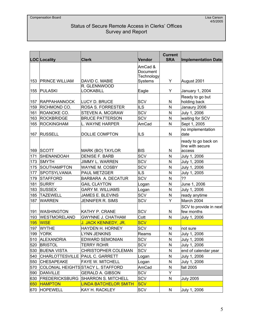|            | <b>LOC</b> Locality             | <b>Clerk</b>                       | <b>Vendor</b>                     | <b>Current</b><br><b>SRA</b> | <b>Implementation Date</b>              |
|------------|---------------------------------|------------------------------------|-----------------------------------|------------------------------|-----------------------------------------|
|            |                                 |                                    | AmCad &<br>Document<br>Technology |                              |                                         |
| 153        | <b>PRINCE WILLIAM</b>           | DAVID C. MABIE                     | Systems                           | Y                            | August 2001                             |
| 155        | <b>PULASKI</b>                  | R. GLENNWOOD<br>LOOKABILL          | Eagle                             | Y                            | January 1, 2004                         |
| 157        | <b>RAPPAHANNOCK</b>             | LUCY D. BRUCE                      | <b>SCV</b>                        | N                            | Ready to go but<br>holding back         |
| 159        | RICHMOND CO.                    | <b>ROSA S. FORRESTER</b>           | <b>ILS</b>                        | N                            | Janaury 2006                            |
| 161        | ROANOKE CO.                     | STEVEN A. MCGRAW                   | <b>SCV</b>                        | $\mathsf{N}$                 | July 1, 2006                            |
| 163        | <b>ROCKBRIDGE</b>               | <b>BRUCE PATTERSON</b>             | <b>SCV</b>                        | N                            | waiting for SCV                         |
| 165        | <b>ROCKINGHAM</b>               | L. WAYNE HARPER                    | AmCad                             | $\mathsf{N}$                 | Sept 1, 2005                            |
|            | 167 RUSSELL                     | <b>DOLLIE COMPTON</b>              | <b>ILS</b>                        | N                            | no implementation<br>date               |
|            |                                 |                                    |                                   |                              | ready to go back on<br>line with secure |
| 169        | <b>SCOTT</b>                    | MARK (BO) TAYLOR                   | <b>BIS</b>                        | N                            | access                                  |
| 171        | SHENANDOAH                      | DENISE F. BARB                     | <b>SCV</b>                        | $\mathsf{N}$                 | July 1, 2006                            |
| 173        | <b>SMYTH</b>                    | <b>JIMMY L. WARREN</b>             | <b>SCV</b>                        | N                            | July 1, 2006                            |
| 175        | <b>SOUTHAMPTON</b>              | <b>WAYNE M. COSBY</b>              | <b>SCV</b>                        | $\mathsf{N}$                 | July 1, 2006                            |
| 177        | <b>SPOTSYLVANIA</b>             | PAUL METZGER                       | <b>ILS</b>                        | N                            | July 1, 2005                            |
| 179        | <b>STAFFORD</b>                 | BARBARA A. DECATUR                 | SCV                               | N                            | ??                                      |
| 181        | <b>SURRY</b>                    | <b>GAIL CLAYTON</b>                | Logan                             | N                            | June 1, 2006                            |
| 183        | <b>SUSSEX</b>                   | <b>GARY M. WILLIAMS</b>            | Logan                             | $\mathsf{N}$                 | July 1, 2006                            |
| 185        | <b>TAZEWELL</b>                 | JAMES E. BLEVINS                   | <b>SCV</b>                        | N                            | ready anytime                           |
| 187        | <b>WARREN</b>                   | JENNIFER R. SIMS                   | SCV                               | Y                            | March 2004                              |
| 191        | <b>WASHINGTON</b>               | <b>KATHY P. CRANE</b>              | <b>SCV</b>                        | N                            | SCV to provide in next<br>few months    |
| 193        | <b>WESTMORELAND</b>             | <b>GWYNNE J. CHATHAM</b>           | Cott                              | N                            | July 1, 2006                            |
| <b>195</b> | <b>WISE</b>                     | <u>J. JACK KENNEDY, JR.</u>        | <b>SCV</b>                        |                              |                                         |
| 197        | <b>WYTHE</b>                    | HAYDEN H. HORNEY                   | SCV                               | N                            | not sure                                |
| 199        | <b>YORK</b>                     | <b>LYNN JENKINS</b>                | Reams                             | N                            | July 1, 2006                            |
| 510        | <b>ALEXANDRIA</b>               | <b>EDWARD SEMONIAN</b>             | <b>SCV</b>                        | N                            | July 1, 2006                            |
| 520        | <b>BRISTOL</b>                  | <b>TERRY ROHR</b>                  | SCV                               | N                            | July 1, 2006                            |
| 530        | <b>BUENA VISTA</b>              | <b>CHRISTOPHER COLEMAN</b>         | SCV                               | N                            | end of calendar year                    |
| 540        | CHARLOTTESVILLE PAUL C. GARRETT |                                    | Logan                             | N                            | July 1, 2006                            |
| 550        | <b>CHESAPEAKE</b>               | FAYE W. MITCHELL                   | Logan                             | N                            | July 1, 2006                            |
| 570        |                                 | COLONIAL HEIGHTS STACY L. STAFFORD | AmCad                             | N                            | fall 2005                               |
| 590        | DANVILLE                        | <b>GERALD A. GIBSON</b>            | SCV                               | Y                            |                                         |
| 630        | <b>FREDERICKSBURG</b>           | <b>SHARRON S. MITCHELL</b>         | <b>SCV</b>                        | N                            | <b>July 2005</b>                        |
| 650        | <b>HAMPTON</b>                  | <b>LINDA BATCHELOR SMITH</b>       | <b>SCV</b>                        |                              |                                         |
| 670        | <b>HOPEWELL</b>                 | KAY H. RACKLEY                     | <b>SCV</b>                        | N                            | July 1, 2006                            |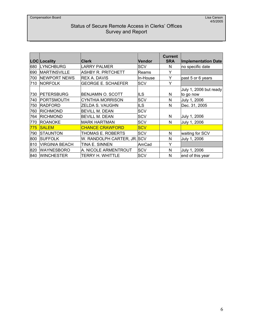|     | <b>LOC</b> Locality   | <b>Clerk</b>                | <b>Vendor</b> | <b>Current</b><br><b>SRA</b> | <b>Implementation Date</b>          |
|-----|-----------------------|-----------------------------|---------------|------------------------------|-------------------------------------|
| 680 | <b>LYNCHBURG</b>      | LARRY PALMER                | SCV           | N                            | no specific date                    |
| 690 | <b>MARTINSVILLE</b>   | IASHBY R. PRITCHETT         | Reams         | Y                            |                                     |
| 700 | <b>NEWPORT NEWS</b>   | <b>REX A. DAVIS</b>         | In-House      | Y                            | past 5 or 6 years                   |
| 710 | NORFOLK               | <b>GEORGE E. SCHAEFER</b>   | <b>SCV</b>    | Υ                            |                                     |
| 730 | <b>PETERSBURG</b>     | BENJAMIN O. SCOTT           | ILS           | N                            | July 1, 2006 but ready<br>to go now |
| 740 | PORTSMOUTH            | <b>CYNTHIA MORRISON</b>     | <b>SCV</b>    | N                            | July 1, 2006                        |
| 750 | <b>RADFORD</b>        | ZELDA S. VAUGHN             | <b>ILS</b>    | N                            | Dec. 31, 2005                       |
| 760 | <b>RICHMOND</b>       | <b>BEVILL M. DEAN</b>       | <b>SCV</b>    |                              |                                     |
| 764 | <b>RICHMOND</b>       | <b>BEVILL M. DEAN</b>       | <b>SCV</b>    | N                            | July 1, 2006                        |
| 770 | <b>ROANOKE</b>        | MARK HARTMAN                | <b>SCV</b>    | N                            | July 1, 2006                        |
| 775 | <b>SALEM</b>          | <b>CHANCE CRAWFORD</b>      | <b>SCV</b>    |                              |                                     |
| 790 | <b>STAUNTON</b>       | THOMAS E. ROBERTS           | <b>SCV</b>    | N                            | waiting for SCV                     |
| 800 | <b>SUFFOLK</b>        | W. RANDOLPH CARTER, JR. SCV |               | N                            | July 1, 2006                        |
| 810 | <b>VIRGINIA BEACH</b> | TINA E. SINNEN              | AmCad         | Y                            |                                     |
| 820 | <b>WAYNESBORO</b>     | A. NICOLE ARMENTROUT        | <b>SCV</b>    | N                            | July 1, 2006                        |
|     | 840 WINCHESTER        | TERRY H. WHITTLE            | <b>SCV</b>    | N                            | end of this year                    |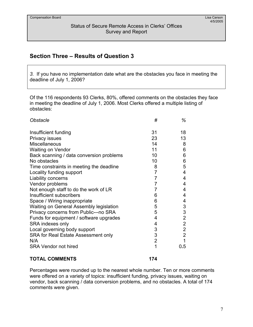## **Section Three – Results of Question 3**

*3.* If you have no implementation date what are the obstacles you face in meeting the deadline of July 1, 2006?

Of the 116 respondents 93 Clerks, 80%, offered comments on the obstacles they face in meeting the deadline of July 1, 2006. Most Clerks offered a multiple listing of obstacles:

| Obstacle                                 | #              | %              |
|------------------------------------------|----------------|----------------|
| Insufficient funding                     | 31             | 18             |
| Privacy issues                           | 23             | 13             |
| Miscellaneous                            | 14             | 8              |
| <b>Waiting on Vendor</b>                 | 11             | 6              |
| Back scanning / data conversion problems | 10             | 6              |
| No obstacles                             | 10             | 6              |
| Time constraints in meeting the deadline | 8              | 5              |
| Locality funding support                 | 7              | 4              |
| Liability concerns                       | 7              | 4              |
| Vendor problems                          | 7              | 4              |
| Not enough staff to do the work of LR    | 7              | 4              |
| Insufficient subscribers                 | 6              | 4              |
| Space / Wiring inappropriate             | 6              | 4              |
| Waiting on General Assembly legislation  | 5              | 3              |
| Privacy concerns from Public---no SRA    | 5              | 3              |
| Funds for equipment / software upgrades  | 4              | $\overline{2}$ |
| SRA indexes only                         | 4              | $\overline{2}$ |
| Local governing body support             | 3              | $\overline{2}$ |
| SRA for Real Estate Assessment only      | 3              | $\overline{2}$ |
| N/A                                      | $\overline{2}$ | 1              |
| <b>SRA Vendor not hired</b>              | 1              | 0.5            |
|                                          |                |                |

#### **TOTAL COMMENTS 174**

Percentages were rounded up to the nearest whole number. Ten or more comments were offered on a variety of topics: insufficient funding, privacy issues, waiting on vendor, back scanning / data conversion problems, and no obstacles. A total of 174 comments were given.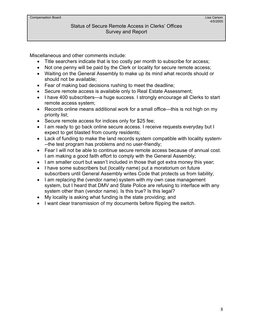Miscellaneous and other comments include:

- Title searchers indicate that is too costly per month to subscribe for access;
- Not one penny will be paid by the Clerk or locality for secure remote access;
- Waiting on the General Assembly to make up its mind what records should or should not be available;
- Fear of making bad decisions rushing to meet the deadline;
- Secure remote access is available only to Real Estate Assessment;
- I have 400 subscribers---a huge success. I strongly encourage all Clerks to start remote access system;
- Records online means additional work for a small office---this is not high on my priority list;
- Secure remote access for indices only for \$25 fee;
- I am ready to go back online secure access. I receive requests everyday but I expect to get blasted from county residents;
- Lack of funding to make the land records system compatible with locality system- --the test program has problems and no user-friendly;
- Fear I will not be able to continue secure remote access because of annual cost. I am making a good faith effort to comply with the General Assembly;
- I am smaller court but wasn't included in those that got extra money this year;
- I have some subscribers but (locality name) put a moratorium on future subscribers until General Assembly writes Code that protects us from liability;
- I am replacing the (vendor name) system with my own case management system, but I heard that DMV and State Police are refusing to interface with any system other than (vendor name). Is this true? Is this legal?
- My locality is asking what funding is the state providing; and
- I want clear transmission of my documents before flipping the switch.